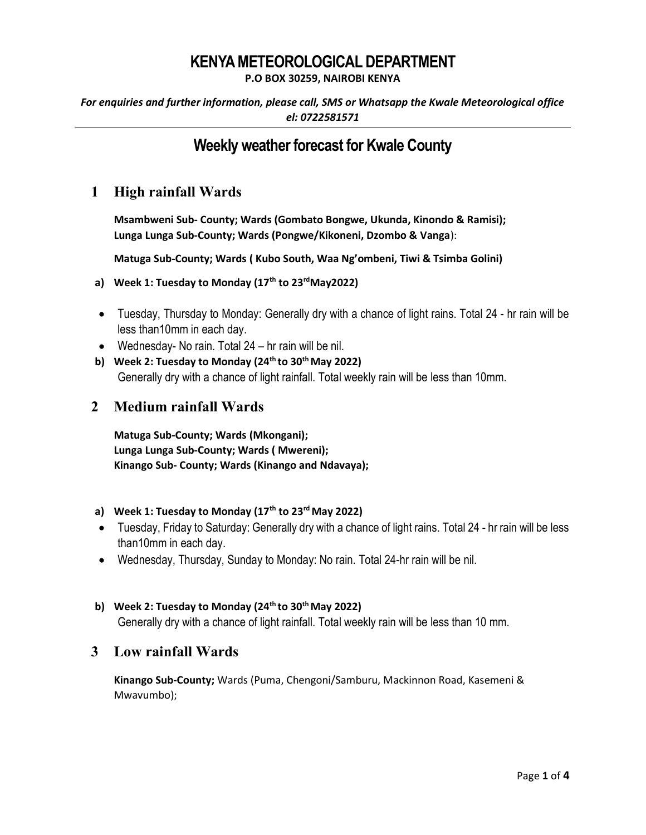# KENYA METEOROLOGICAL DEPARTMENT

P.O BOX 30259, NAIROBI KENYA

For enquiries and further information, please call, SMS or Whatsapp the Kwale Meteorological office el: 0722581571

## Weekly weather forecast for Kwale County

## 1 High rainfall Wards

Msambweni Sub- County; Wards (Gombato Bongwe, Ukunda, Kinondo & Ramisi); Lunga Lunga Sub-County; Wards (Pongwe/Kikoneni, Dzombo & Vanga):

Matuga Sub-County; Wards ( Kubo South, Waa Ng'ombeni, Tiwi & Tsimba Golini)

- a) Week 1: Tuesday to Monday  $(17<sup>th</sup>$  to 23<sup>rd</sup>May2022)
- Tuesday, Thursday to Monday: Generally dry with a chance of light rains. Total 24 hr rain will be less than10mm in each day.
- Wednesday- No rain. Total 24 hr rain will be nil.
- b) Week 2: Tuesday to Monday  $(24<sup>th</sup>$  to 30<sup>th</sup> May 2022) Generally dry with a chance of light rainfall. Total weekly rain will be less than 10mm.

### 2 Medium rainfall Wards

Matuga Sub-County; Wards (Mkongani); Lunga Lunga Sub-County; Wards ( Mwereni); Kinango Sub- County; Wards (Kinango and Ndavaya);

#### a) Week 1: Tuesday to Monday  $(17<sup>th</sup>$  to 23<sup>rd</sup> May 2022)

- Tuesday, Friday to Saturday: Generally dry with a chance of light rains. Total 24 hr rain will be less than10mm in each day.
- Wednesday, Thursday, Sunday to Monday: No rain. Total 24-hr rain will be nil.

#### b) Week 2: Tuesday to Monday ( $24<sup>th</sup>$  to  $30<sup>th</sup>$  May 2022)

Generally dry with a chance of light rainfall. Total weekly rain will be less than 10 mm.

### 3 Low rainfall Wards

Kinango Sub-County; Wards (Puma, Chengoni/Samburu, Mackinnon Road, Kasemeni & Mwavumbo);